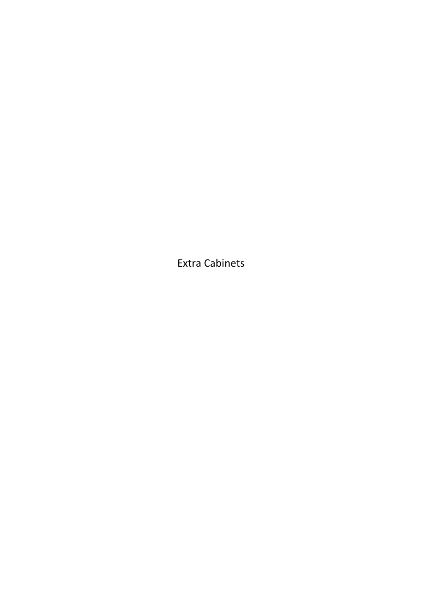Extra Cabinets